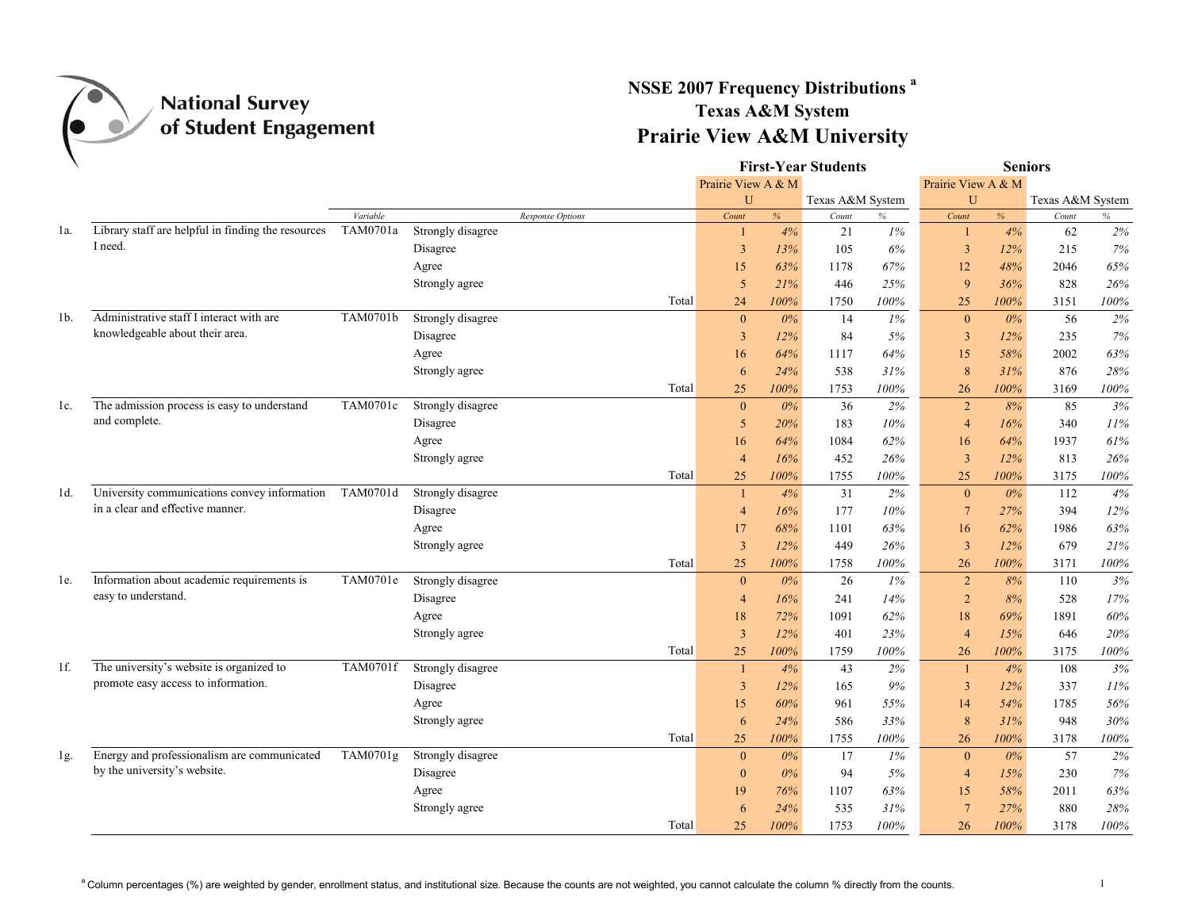

## **NSSE 2007 Frequency Distributions a Texas A&M System Prairie View A&M University**

|        |                                                                                  |          |                   |                  |       |                |                    | <b>First-Year Students</b> |        | <b>Seniors</b>     |       |                  |      |  |
|--------|----------------------------------------------------------------------------------|----------|-------------------|------------------|-------|----------------|--------------------|----------------------------|--------|--------------------|-------|------------------|------|--|
|        |                                                                                  |          |                   |                  |       |                | Prairie View A & M |                            |        | Prairie View A & M |       |                  |      |  |
|        |                                                                                  |          |                   |                  |       | U              |                    | Texas A&M System           |        | U                  |       | Texas A&M System |      |  |
|        |                                                                                  | Variable |                   | Response Options |       | Count          | $\%$               | Count                      | $\%$   | Count              | %     | Count            | $\%$ |  |
| la.    | Library staff are helpful in finding the resources                               | TAM0701a | Strongly disagree |                  |       |                | 4%                 | 21                         | 1%     | -1                 | 4%    | 62               | 2%   |  |
|        | I need.                                                                          |          | Disagree          |                  |       | 3              | 13%                | 105                        | 6%     | $\overline{3}$     | 12%   | 215              | 7%   |  |
|        |                                                                                  |          | Agree             |                  |       | 15             | 63%                | 1178                       | $67\%$ | 12                 | 48%   | 2046             | 65%  |  |
|        |                                                                                  |          | Strongly agree    |                  |       | 5              | 21%                | 446                        | 25%    | 9                  | 36%   | 828              | 26%  |  |
|        |                                                                                  |          |                   |                  | Total | 24             | 100%               | 1750                       | 100%   | 25                 | 100%  | 3151             | 100% |  |
| 1b.    | Administrative staff I interact with are                                         | TAM0701b | Strongly disagree |                  |       | $\mathbf{0}$   | 0%                 | 14                         | 1%     | $\mathbf{0}$       | $0\%$ | 56               | 2%   |  |
|        | knowledgeable about their area.                                                  |          | Disagree          |                  |       | 3              | 12%                | 84                         | 5%     | $\mathbf{3}$       | 12%   | 235              | 7%   |  |
|        |                                                                                  |          | Agree             |                  |       | 16             | 64%                | 1117                       | 64%    | 15                 | 58%   | 2002             | 63%  |  |
|        |                                                                                  |          | Strongly agree    |                  |       | 6              | 24%                | 538                        | 31%    | 8                  | 31%   | 876              | 28%  |  |
|        |                                                                                  |          |                   |                  | Total | 25             | 100%               | 1753                       | 100%   | 26                 | 100%  | 3169             | 100% |  |
| $1c$ . | The admission process is easy to understand                                      | TAM0701c | Strongly disagree |                  |       | $\mathbf{0}$   | $0\%$              | 36                         | 2%     | $\overline{2}$     | 8%    | 85               | 3%   |  |
|        | and complete.                                                                    |          | Disagree          |                  |       | 5              | 20%                | 183                        | 10%    | $\overline{4}$     | 16%   | 340              | 11%  |  |
|        |                                                                                  |          | Agree             |                  |       | 16             | 64%                | 1084                       | 62%    | 16                 | 64%   | 1937             | 61%  |  |
|        |                                                                                  |          | Strongly agree    |                  |       | $\overline{4}$ | 16%                | 452                        | 26%    | $\overline{3}$     | 12%   | 813              | 26%  |  |
|        |                                                                                  |          |                   |                  | Total | 25             | 100%               | 1755                       | 100%   | 25                 | 100%  | 3175             | 100% |  |
| 1d.    | University communications convey information<br>in a clear and effective manner. | TAM0701d | Strongly disagree |                  |       |                | 4%                 | 31                         | 2%     | $\mathbf{0}$       | $0\%$ | 112              | 4%   |  |
|        |                                                                                  |          | Disagree          |                  |       | $\overline{4}$ | 16%                | 177                        | 10%    | $7\phantom{.0}$    | 27%   | 394              | 12%  |  |
|        |                                                                                  |          | Agree             |                  |       | 17             | 68%                | 1101                       | 63%    | 16                 | 62%   | 1986             | 63%  |  |
|        |                                                                                  |          | Strongly agree    |                  |       | $\overline{3}$ | 12%                | 449                        | 26%    | $\overline{3}$     | 12%   | 679              | 21%  |  |
|        |                                                                                  |          |                   |                  | Total | 25             | 100%               | 1758                       | 100%   | 26                 | 100%  | 3171             | 100% |  |
| le.    | Information about academic requirements is                                       | TAM0701e | Strongly disagree |                  |       | $\mathbf{0}$   | $0\%$              | 26                         | 1%     | $\overline{2}$     | 8%    | 110              | 3%   |  |
|        | easy to understand.                                                              |          | Disagree          |                  |       | $\overline{4}$ | 16%                | 241                        | 14%    | $\overline{2}$     | 8%    | 528              | 17%  |  |
|        |                                                                                  |          | Agree             |                  |       | 18             | 72%                | 1091                       | 62%    | 18                 | 69%   | 1891             | 60%  |  |
|        |                                                                                  |          | Strongly agree    |                  |       | $\overline{3}$ | $12\%$             | 401                        | 23%    | $\overline{4}$     | 15%   | 646              | 20%  |  |
|        |                                                                                  |          |                   |                  | Total | 25             | 100%               | 1759                       | 100%   | 26                 | 100%  | 3175             | 100% |  |
| $1f$ . | The university's website is organized to                                         | TAM0701f | Strongly disagree |                  |       |                | 4%                 | 43                         | 2%     | $\mathbf{1}$       | 4%    | 108              | 3%   |  |
|        | promote easy access to information.                                              |          | Disagree          |                  |       | $\overline{3}$ | 12%                | 165                        | 9%     | $\overline{3}$     | 12%   | 337              | 11%  |  |
|        |                                                                                  |          | Agree             |                  |       | 15             | 60%                | 961                        | 55%    | 14                 | 54%   | 1785             | 56%  |  |
|        |                                                                                  |          | Strongly agree    |                  |       | 6              | 24%                | 586                        | 33%    | $8\phantom{1}$     | 31%   | 948              | 30%  |  |
|        |                                                                                  |          |                   |                  | Total | 25             | 100%               | 1755                       | 100%   | 26                 | 100%  | 3178             | 100% |  |
| lg.    | Energy and professionalism are communicated                                      | TAM0701g | Strongly disagree |                  |       | $\mathbf{0}$   | 0%                 | 17                         | 1%     | $\mathbf{0}$       | $0\%$ | 57               | 2%   |  |
|        | by the university's website.                                                     |          | Disagree          |                  |       | $\mathbf{0}$   | 0%                 | 94                         | 5%     | $\overline{4}$     | 15%   | 230              | 7%   |  |
|        |                                                                                  |          | Agree             |                  |       | 19             | 76%                | 1107                       | 63%    | 15                 | 58%   | 2011             | 63%  |  |
|        |                                                                                  |          | Strongly agree    |                  |       | 6              | 24%                | 535                        | 31%    | 7                  | 27%   | 880              | 28%  |  |
|        |                                                                                  |          |                   |                  | Total | 25             | 100%               | 1753                       | 100%   | 26                 | 100%  | 3178             | 100% |  |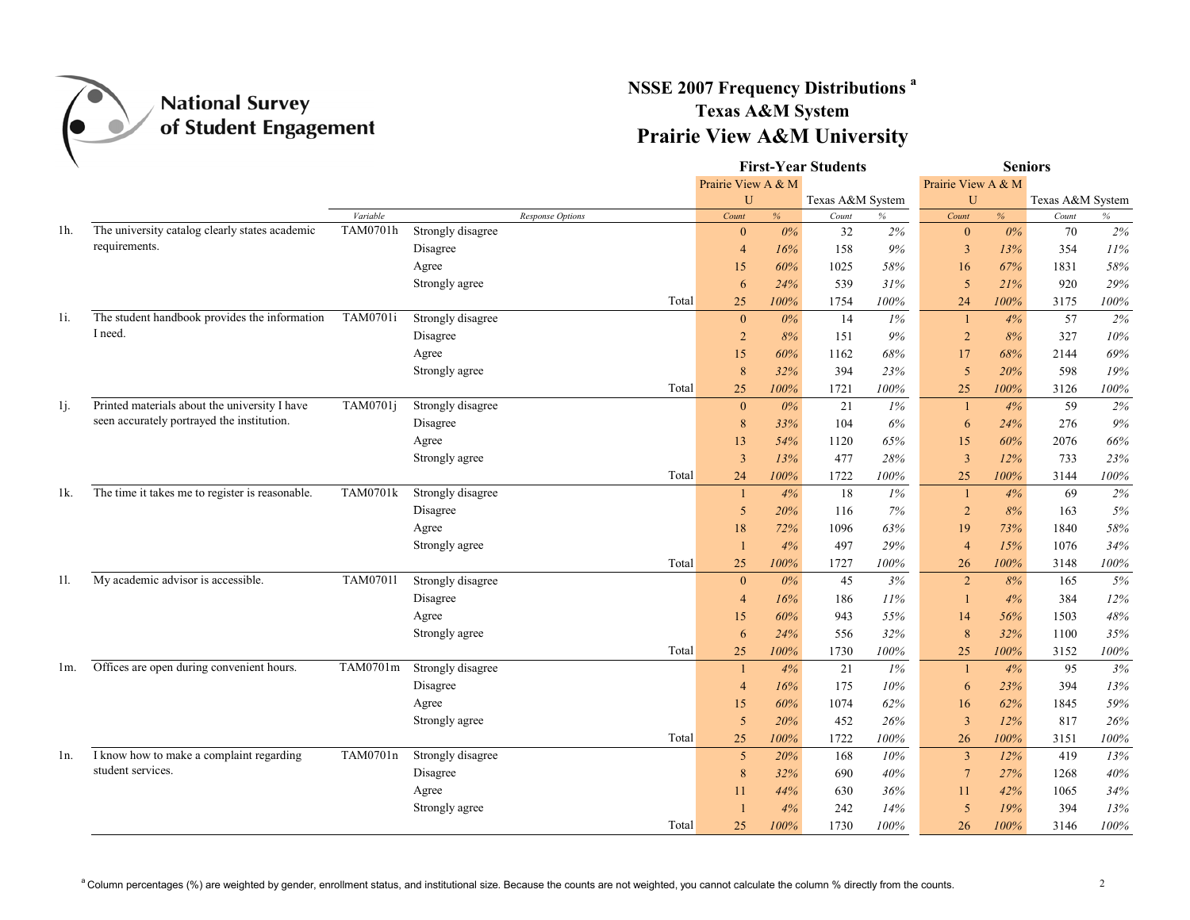

## **NSSE 2007 Frequency Distributions a Texas A&M System Prairie View A&M University**

|        |                                                 |                 |                   |                  |                    |       | <b>First-Year Students</b> |         | <b>Seniors</b>  |                    |                  |      |  |
|--------|-------------------------------------------------|-----------------|-------------------|------------------|--------------------|-------|----------------------------|---------|-----------------|--------------------|------------------|------|--|
|        |                                                 |                 |                   |                  | Prairie View A & M |       |                            |         |                 | Prairie View A & M |                  |      |  |
|        |                                                 |                 |                   |                  | U                  |       | Texas A&M System           |         | U               |                    | Texas A&M System |      |  |
|        |                                                 | Variable        |                   | Response Options | Count              | $\%$  | Count                      | $\%$    | Count           | %                  | Count            | $\%$ |  |
| 1h.    | The university catalog clearly states academic  | TAM0701h        | Strongly disagree |                  | $\theta$           | $0\%$ | 32                         | 2%      | $\mathbf{0}$    | $0\%$              | 70               | 2%   |  |
|        | requirements.                                   |                 | Disagree          |                  | $\overline{4}$     | 16%   | 158                        | 9%      | $\overline{3}$  | 13%                | 354              | 11%  |  |
|        |                                                 |                 | Agree             |                  | 15                 | 60%   | 1025                       | 58%     | 16              | 67%                | 1831             | 58%  |  |
|        |                                                 |                 | Strongly agree    |                  | 6                  | 24%   | 539                        | 31%     | 5               | 21%                | 920              | 29%  |  |
|        |                                                 |                 |                   | Total            | 25                 | 100%  | 1754                       | 100%    | 24              | 100%               | 3175             | 100% |  |
| $1i$ . | The student handbook provides the information   | TAM0701i        | Strongly disagree |                  | $\mathbf{0}$       | $0\%$ | 14                         | 1%      | 1               | 4%                 | 57               | 2%   |  |
|        | I need.                                         |                 | Disagree          |                  | $\overline{2}$     | 8%    | 151                        | 9%      | $\overline{2}$  | 8%                 | 327              | 10%  |  |
|        |                                                 |                 | Agree             |                  | 15                 | 60%   | 1162                       | 68%     | 17              | 68%                | 2144             | 69%  |  |
|        |                                                 |                 | Strongly agree    |                  | 8                  | 32%   | 394                        | 23%     | 5               | 20%                | 598              | 19%  |  |
|        |                                                 |                 |                   | Total            | 25                 | 100%  | 1721                       | 100%    | 25              | 100%               | 3126             | 100% |  |
| 1j.    | Printed materials about the university I have   | TAM0701j        | Strongly disagree |                  | $\mathbf{0}$       | $0\%$ | 21                         | $1\%$   | $\overline{1}$  | 4%                 | 59               | 2%   |  |
|        | seen accurately portrayed the institution.      |                 | Disagree          |                  | 8                  | 33%   | 104                        | 6%      | 6               | 24%                | 276              | 9%   |  |
|        |                                                 |                 | Agree             |                  | 13                 | 54%   | 1120                       | 65%     | 15              | 60%                | 2076             | 66%  |  |
|        |                                                 |                 | Strongly agree    |                  | $\overline{3}$     | 13%   | 477                        | 28%     | $\overline{3}$  | 12%                | 733              | 23%  |  |
|        |                                                 |                 |                   | Total            | 24                 | 100%  | 1722                       | 100%    | 25              | 100%               | 3144             | 100% |  |
| 1k.    | The time it takes me to register is reasonable. | <b>TAM0701k</b> | Strongly disagree |                  | -1                 | 4%    | 18                         | 1%      | -1              | 4%                 | 69               | 2%   |  |
|        |                                                 |                 | Disagree          |                  | 5                  | 20%   | 116                        | 7%      | $\overline{2}$  | 8%                 | 163              | 5%   |  |
|        |                                                 |                 | Agree             |                  | 18                 | 72%   | 1096                       | 63%     | 19              | 73%                | 1840             | 58%  |  |
|        |                                                 |                 | Strongly agree    |                  |                    | 4%    | 497                        | 29%     | $\overline{4}$  | 15%                | 1076             | 34%  |  |
|        |                                                 |                 |                   | Total            | 25                 | 100%  | 1727                       | 100%    | 26              | 100%               | 3148             | 100% |  |
| 11.    | My academic advisor is accessible.              | <b>TAM07011</b> | Strongly disagree |                  | $\mathbf{0}$       | $0\%$ | 45                         | 3%      | $\overline{2}$  | 8%                 | 165              | 5%   |  |
|        |                                                 |                 | Disagree          |                  | $\overline{4}$     | 16%   | 186                        | 11%     | $\overline{1}$  | 4%                 | 384              | 12%  |  |
|        |                                                 |                 | Agree             |                  | 15                 | 60%   | 943                        | 55%     | 14              | 56%                | 1503             | 48%  |  |
|        |                                                 |                 | Strongly agree    |                  | 6                  | 24%   | 556                        | 32%     | 8               | 32%                | 1100             | 35%  |  |
|        |                                                 |                 |                   | Total            | 25                 | 100%  | 1730                       | 100%    | 25              | 100%               | 3152             | 100% |  |
| lm.    | Offices are open during convenient hours.       | TAM0701m        | Strongly disagree |                  | $\mathbf{1}$       | 4%    | 21                         | $1\%$   | $\overline{1}$  | 4%                 | 95               | 3%   |  |
|        |                                                 |                 | Disagree          |                  | $\overline{4}$     | 16%   | 175                        | 10%     | 6               | 23%                | 394              | 13%  |  |
|        |                                                 |                 | Agree             |                  | 15                 | 60%   | 1074                       | 62%     | 16              | 62%                | 1845             | 59%  |  |
|        |                                                 |                 | Strongly agree    |                  | 5                  | 20%   | 452                        | 26%     | $\overline{3}$  | 12%                | 817              | 26%  |  |
|        |                                                 |                 |                   | Total            | 25                 | 100%  | 1722                       | 100%    | 26              | 100%               | 3151             | 100% |  |
| ln.    | I know how to make a complaint regarding        | TAM0701n        | Strongly disagree |                  | 5                  | 20%   | 168                        | 10%     | $\overline{3}$  | 12%                | 419              | 13%  |  |
|        | student services.                               |                 | Disagree          |                  | 8                  | 32%   | 690                        | 40%     | $7\phantom{.0}$ | 27%                | 1268             | 40%  |  |
|        |                                                 |                 | Agree             |                  | 11                 | 44%   | 630                        | 36%     | 11              | 42%                | 1065             | 34%  |  |
|        |                                                 |                 | Strongly agree    |                  |                    | 4%    | 242                        | 14%     | 5               | 19%                | 394              | 13%  |  |
|        |                                                 |                 |                   | Total            | 25                 | 100%  | 1730                       | $100\%$ | 26              | 100%               | 3146             | 100% |  |